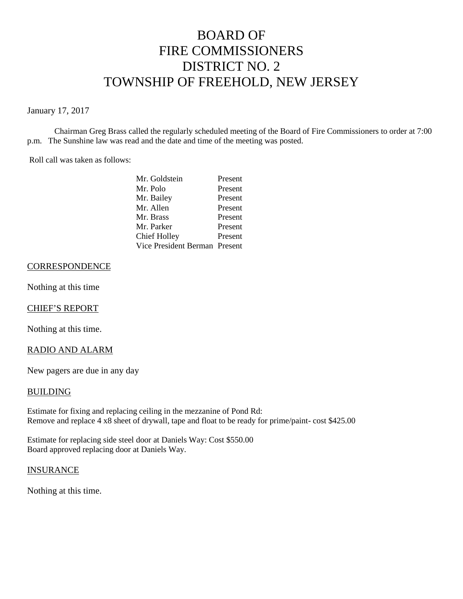# BOARD OF FIRE COMMISSIONERS DISTRICT NO. 2 TOWNSHIP OF FREEHOLD, NEW JERSEY

January 17, 2017

Chairman Greg Brass called the regularly scheduled meeting of the Board of Fire Commissioners to order at 7:00 p.m. The Sunshine law was read and the date and time of the meeting was posted.

Roll call was taken as follows:

| Mr. Goldstein                 | Present |
|-------------------------------|---------|
| Mr. Polo                      | Present |
| Mr. Bailey                    | Present |
| Mr. Allen                     | Present |
| Mr. Brass                     | Present |
| Mr. Parker                    | Present |
| Chief Holley                  | Present |
| Vice President Berman Present |         |

# **CORRESPONDENCE**

Nothing at this time

#### CHIEF'S REPORT

Nothing at this time.

#### RADIO AND ALARM

New pagers are due in any day

#### BUILDING

Estimate for fixing and replacing ceiling in the mezzanine of Pond Rd: Remove and replace 4 x8 sheet of drywall, tape and float to be ready for prime/paint- cost \$425.00

Estimate for replacing side steel door at Daniels Way: Cost \$550.00 Board approved replacing door at Daniels Way.

#### **INSURANCE**

Nothing at this time.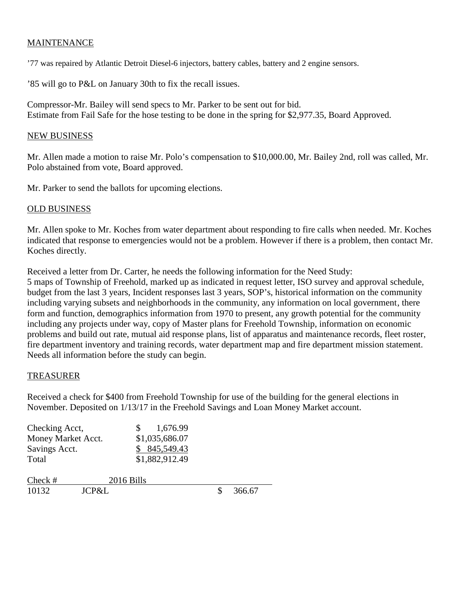# MAINTENANCE

'77 was repaired by Atlantic Detroit Diesel-6 injectors, battery cables, battery and 2 engine sensors.

'85 will go to P&L on January 30th to fix the recall issues.

Compressor-Mr. Bailey will send specs to Mr. Parker to be sent out for bid. Estimate from Fail Safe for the hose testing to be done in the spring for \$2,977.35, Board Approved.

### NEW BUSINESS

Mr. Allen made a motion to raise Mr. Polo's compensation to \$10,000.00, Mr. Bailey 2nd, roll was called, Mr. Polo abstained from vote, Board approved.

Mr. Parker to send the ballots for upcoming elections.

## OLD BUSINESS

Mr. Allen spoke to Mr. Koches from water department about responding to fire calls when needed. Mr. Koches indicated that response to emergencies would not be a problem. However if there is a problem, then contact Mr. Koches directly.

Received a letter from Dr. Carter, he needs the following information for the Need Study: 5 maps of Township of Freehold, marked up as indicated in request letter, ISO survey and approval schedule, budget from the last 3 years, Incident responses last 3 years, SOP's, historical information on the community including varying subsets and neighborhoods in the community, any information on local government, there form and function, demographics information from 1970 to present, any growth potential for the community including any projects under way, copy of Master plans for Freehold Township, information on economic problems and build out rate, mutual aid response plans, list of apparatus and maintenance records, fleet roster, fire department inventory and training records, water department map and fire department mission statement. Needs all information before the study can begin.

#### TREASURER

Received a check for \$400 from Freehold Township for use of the building for the general elections in November. Deposited on 1/13/17 in the Freehold Savings and Loan Money Market account.

| Checking Acct,     |       |            | 1,676.99       |        |
|--------------------|-------|------------|----------------|--------|
| Money Market Acct. |       |            | \$1,035,686.07 |        |
| Savings Acct.      |       |            | \$845,549.43   |        |
| Total              |       |            | \$1,882,912.49 |        |
| $Check \#$         |       | 2016 Bills |                |        |
| 10132              | JCP&L |            |                | 366.67 |